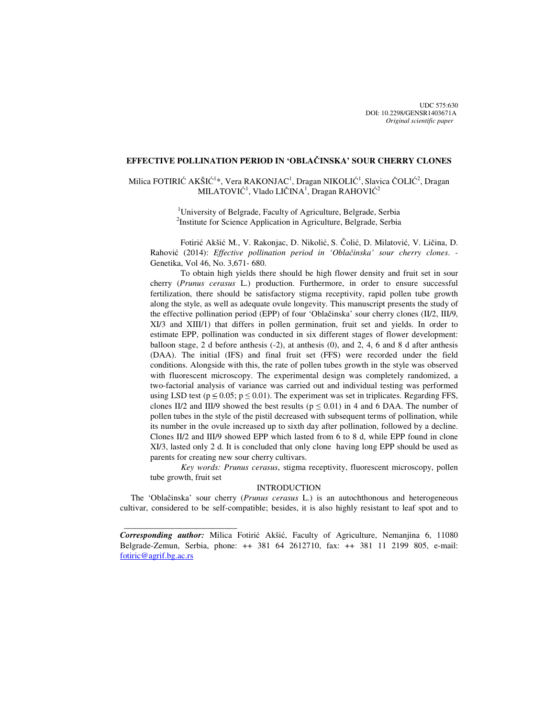UDC 575:630 DOI: 10.2298/GENSR1403671A *Original scientific paper*

## **EFFECTIVE POLLINATION PERIOD IN 'OBLA**Č**INSKA' SOUR CHERRY CLONES**

# Milica FOTIRIĆ AKŠIĆ<sup>1</sup>\*, Vera RAKONJAC<sup>1</sup>, Dragan NIKOLIĆ<sup>1</sup>, Slavica ČOLIĆ<sup>2</sup>, Dragan MILATOVIĆ $^1$ , Vlado LIČINA $^1$ , Dragan RAHOVIĆ $^2$

<sup>1</sup>University of Belgrade, Faculty of Agriculture, Belgrade, Serbia <sup>2</sup>Institute for Science Application in Agriculture, Belgrade, Serbia

Fotirić Akšić M., V. Rakonjac, D. Nikolić, S. Čolić, D. Milatović, V. Ličina, D. Rahović (2014): *Effective pollination period in 'Obla*č*inska' sour cherry clones*. *-*  Genetika, Vol 46, No. 3,671- 680.

To obtain high yields there should be high flower density and fruit set in sour cherry (*Prunus cerasus* L.) production. Furthermore, in order to ensure successful fertilization, there should be satisfactory stigma receptivity, rapid pollen tube growth along the style, as well as adequate ovule longevity. This manuscript presents the study of the effective pollination period (EPP) of four 'Oblačinska' sour cherry clones (II/2, III/9, XI/3 and XIII/1) that differs in pollen germination, fruit set and yields. In order to estimate EPP, pollination was conducted in six different stages of flower development: balloon stage, 2 d before anthesis  $(-2)$ , at anthesis  $(0)$ , and  $2, 4, 6$  and  $8$  d after anthesis (DAA). The initial (IFS) and final fruit set (FFS) were recorded under the field conditions. Alongside with this, the rate of pollen tubes growth in the style was observed with fluorescent microscopy. The experimental design was completely randomized, a two-factorial analysis of variance was carried out and individual testing was performed using LSD test ( $p \le 0.05$ ;  $p \le 0.01$ ). The experiment was set in triplicates. Regarding FFS, clones II/2 and III/9 showed the best results ( $p \le 0.01$ ) in 4 and 6 DAA. The number of pollen tubes in the style of the pistil decreased with subsequent terms of pollination, while its number in the ovule increased up to sixth day after pollination, followed by a decline. Clones II/2 and III/9 showed EPP which lasted from 6 to 8 d, while EPP found in clone XI/3, lasted only 2 d. It is concluded that only clone having long EPP should be used as parents for creating new sour cherry cultivars.

*Key words: Prunus cerasus*, stigma receptivity, fluorescent microscopy, pollen tube growth, fruit set

### **INTRODUCTION**

 The 'Oblačinska' sour cherry (*Prunus cerasus* L.) is an autochthonous and heterogeneous cultivar, considered to be self-compatible; besides, it is also highly resistant to leaf spot and to

 $\frac{1}{2}$  , and the set of the set of the set of the set of the set of the set of the set of the set of the set of the set of the set of the set of the set of the set of the set of the set of the set of the set of the set

*Corresponding author:* Milica Fotirić Akšić, Faculty of Agriculture, Nemanjina 6, 11080 Belgrade-Zemun, Serbia, phone: ++ 381 64 2612710, fax: ++ 381 11 2199 805, e-mail: fotiric@agrif.bg.ac.rs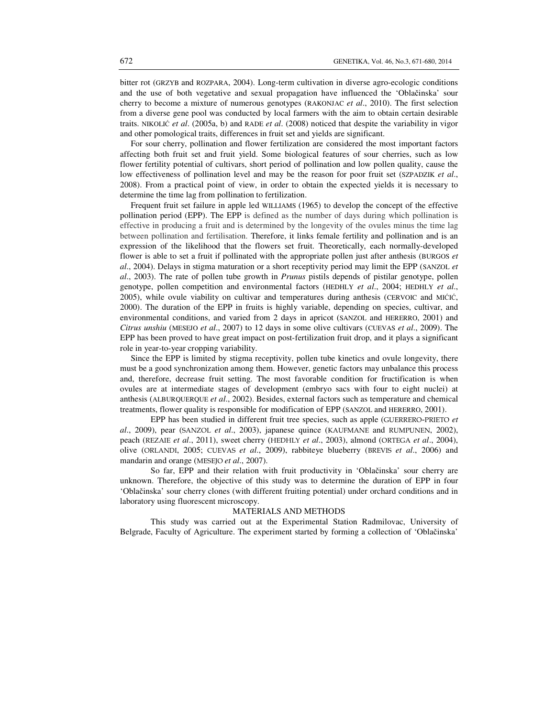bitter rot (GRZYB and ROZPARA, 2004). Long-term cultivation in diverse agro-ecologic conditions and the use of both vegetative and sexual propagation have influenced the 'Oblačinska' sour cherry to become a mixture of numerous genotypes (RAKONJAC *et al*., 2010). The first selection from a diverse gene pool was conducted by local farmers with the aim to obtain certain desirable traits. NIKOLIĆ *et al*. (2005a, b) and RADE *et al*. (2008) noticed that despite the variability in vigor and other pomological traits, differences in fruit set and yields are significant.

 For sour cherry, pollination and flower fertilization are considered the most important factors affecting both fruit set and fruit yield. Some biological features of sour cherries, such as low flower fertility potential of cultivars, short period of pollination and low pollen quality, cause the low effectiveness of pollination level and may be the reason for poor fruit set (SZPADZIK *et al.*, 2008). From a practical point of view, in order to obtain the expected yields it is necessary to determine the time lag from pollination to fertilization.

 Frequent fruit set failure in apple led WILLIAMS (1965) to develop the concept of the effective pollination period (EPP). The EPP is defined as the number of days during which pollination is effective in producing a fruit and is determined by the longevity of the ovules minus the time lag between pollination and fertilisation. Therefore, it links female fertility and pollination and is an expression of the likelihood that the flowers set fruit. Theoretically, each normally-developed flower is able to set a fruit if pollinated with the appropriate pollen just after anthesis (BURGOS *et al*., 2004). Delays in stigma maturation or a short receptivity period may limit the EPP (SANZOL *et al*., 2003). The rate of pollen tube growth in *Prunus* pistils depends of pistilar genotype, pollen genotype, pollen competition and environmental factors (HEDHLY *et al*., 2004; HEDHLY *et al*., 2005), while ovule viability on cultivar and temperatures during anthesis (CERVOIC and MIĆIĆ, 2000). The duration of the EPP in fruits is highly variable, depending on species, cultivar, and environmental conditions, and varied from 2 days in apricot (SANZOL and HERERRO, 2001) and *Citrus unshiu* (MESEJO *et al*., 2007) to 12 days in some olive cultivars (CUEVAS *et al*., 2009). The EPP has been proved to have great impact on post-fertilization fruit drop, and it plays a significant role in year-to-year cropping variability.

 Since the EPP is limited by stigma receptivity, pollen tube kinetics and ovule longevity, there must be a good synchronization among them. However, genetic factors may unbalance this process and, therefore, decrease fruit setting. The most favorable condition for fructification is when ovules are at intermediate stages of development (embryo sacs with four to eight nuclei) at anthesis (ALBURQUERQUE *et al*., 2002). Besides, external factors such as temperature and chemical treatments, flower quality is responsible for modification of EPP (SANZOL and HERERRO, 2001).

 EPP has been studied in different fruit tree species, such as apple (GUERRERO-PRIETO *et al*., 2009), pear (SANZOL *et al*., 2003), japanese quince (KAUFMANE and RUMPUNEN, 2002), peach (REZAIE *et al*., 2011), sweet cherry (HEDHLY *et al*., 2003), almond (ORTEGA *et al*., 2004), olive (ORLANDI, 2005; CUEVAS *et al*., 2009), rabbiteye blueberry (BREVIS *et al*., 2006) and mandarin and orange (MESEJO *et al*., 2007).

So far, EPP and their relation with fruit productivity in 'Oblačinska' sour cherry are unknown. Therefore, the objective of this study was to determine the duration of EPP in four 'Oblačinska' sour cherry clones (with different fruiting potential) under orchard conditions and in laboratory using fluorescent microscopy.

#### MATERIALS AND METHODS

This study was carried out at the Experimental Station Radmilovac, University of Belgrade, Faculty of Agriculture. The experiment started by forming a collection of 'Oblačinska'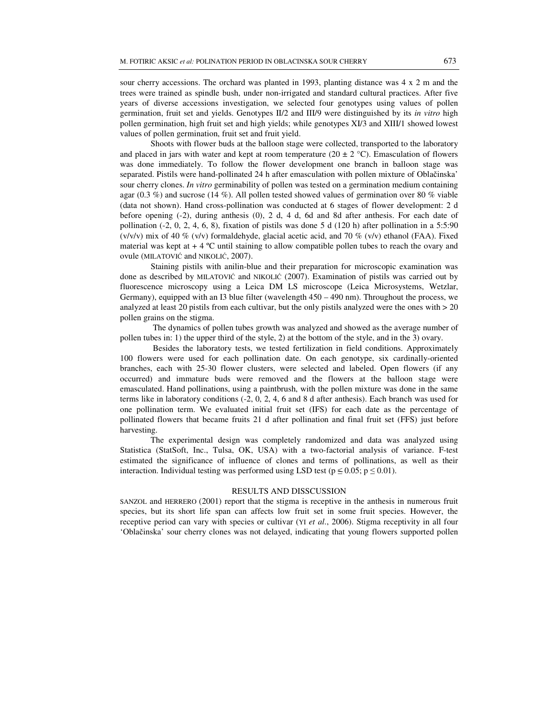Shoots with flower buds at the balloon stage were collected, transported to the laboratory and placed in jars with water and kept at room temperature (20  $\pm$  2 °C). Emasculation of flowers was done immediately. To follow the flower development one branch in balloon stage was separated. Pistils were hand-pollinated 24 h after emasculation with pollen mixture of Oblačinska' sour cherry clones. *In vitro* germinability of pollen was tested on a germination medium containing agar (0.3 %) and sucrose (14 %). All pollen tested showed values of germination over 80 % viable (data not shown). Hand cross-pollination was conducted at 6 stages of flower development: 2 d before opening (-2), during anthesis (0), 2 d, 4 d, 6d and 8d after anthesis. For each date of pollination  $(-2, 0, 2, 4, 6, 8)$ , fixation of pistils was done 5 d  $(120 h)$  after pollination in a 5:5:90 (v/v/v) mix of 40 % (v/v) formaldehyde, glacial acetic acid, and 70 % (v/v) ethanol (FAA). Fixed material was kept at  $+ 4 \degree C$  until staining to allow compatible pollen tubes to reach the ovary and ovule (MILATOVIĆ and NIKOLIĆ, 2007).

 Staining pistils with anilin-blue and their preparation for microscopic examination was done as described by MILATOVIĆ and NIKOLIĆ (2007). Examination of pistils was carried out by fluorescence microscopy using a Leica DM LS microscope (Leica Microsystems, Wetzlar, Germany), equipped with an I3 blue filter (wavelength 450 – 490 nm). Throughout the process, we analyzed at least 20 pistils from each cultivar, but the only pistils analyzed were the ones with > 20 pollen grains on the stigma.

 The dynamics of pollen tubes growth was analyzed and showed as the average number of pollen tubes in: 1) the upper third of the style, 2) at the bottom of the style, and in the 3) ovary.

 Besides the laboratory tests, we tested fertilization in field conditions. Approximately 100 flowers were used for each pollination date. On each genotype, six cardinally-oriented branches, each with 25-30 flower clusters, were selected and labeled. Open flowers (if any occurred) and immature buds were removed and the flowers at the balloon stage were emasculated. Hand pollinations, using a paintbrush, with the pollen mixture was done in the same terms like in laboratory conditions (-2, 0, 2, 4, 6 and 8 d after anthesis). Each branch was used for one pollination term. We evaluated initial fruit set (IFS) for each date as the percentage of pollinated flowers that became fruits 21 d after pollination and final fruit set (FFS) just before harvesting.

The experimental design was completely randomized and data was analyzed using Statistica (StatSoft, Inc., Tulsa, OK, USA) with a two-factorial analysis of variance. F-test estimated the significance of influence of clones and terms of pollinations, as well as their interaction. Individual testing was performed using LSD test ( $p \le 0.05$ ;  $p \le 0.01$ ).

#### RESULTS AND DISSCUSSION

SANZOL and HERRERO (2001) report that the stigma is receptive in the anthesis in numerous fruit species, but its short life span can affects low fruit set in some fruit species. However, the receptive period can vary with species or cultivar (YI *et al*., 2006). Stigma receptivity in all four 'Oblačinska' sour cherry clones was not delayed, indicating that young flowers supported pollen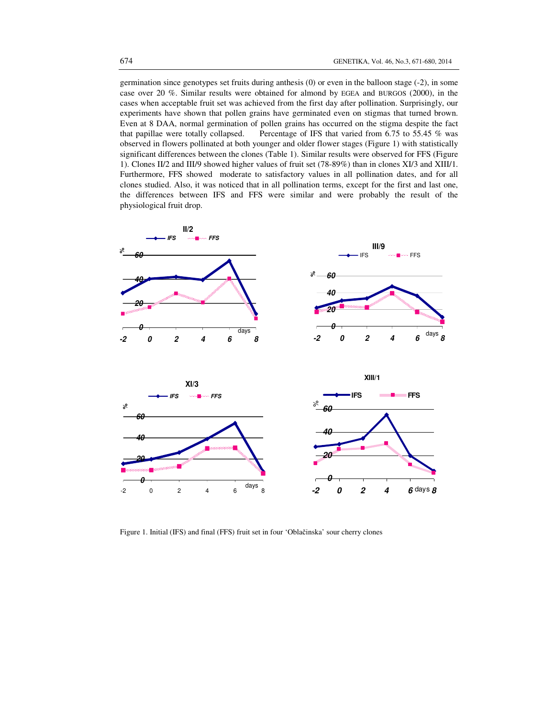germination since genotypes set fruits during anthesis (0) or even in the balloon stage (-2), in some case over 20 %. Similar results were obtained for almond by EGEA and BURGOS (2000), in the cases when acceptable fruit set was achieved from the first day after pollination. Surprisingly, our experiments have shown that pollen grains have germinated even on stigmas that turned brown. Even at 8 DAA, normal germination of pollen grains has occurred on the stigma despite the fact that papillae were totally collapsed. Percentage of IFS that varied from 6.75 to 55.45 % was observed in flowers pollinated at both younger and older flower stages (Figure 1) with statistically significant differences between the clones (Table 1). Similar results were observed for FFS (Figure 1). Clones II/2 and III/9 showed higher values of fruit set (78-89%) than in clones XI/3 and XIII/1. Furthermore, FFS showed moderate to satisfactory values in all pollination dates, and for all clones studied. Also, it was noticed that in all pollination terms, except for the first and last one, the differences between IFS and FFS were similar and were probably the result of the physiological fruit drop.



Figure 1. Initial (IFS) and final (FFS) fruit set in four 'Oblačinska' sour cherry clones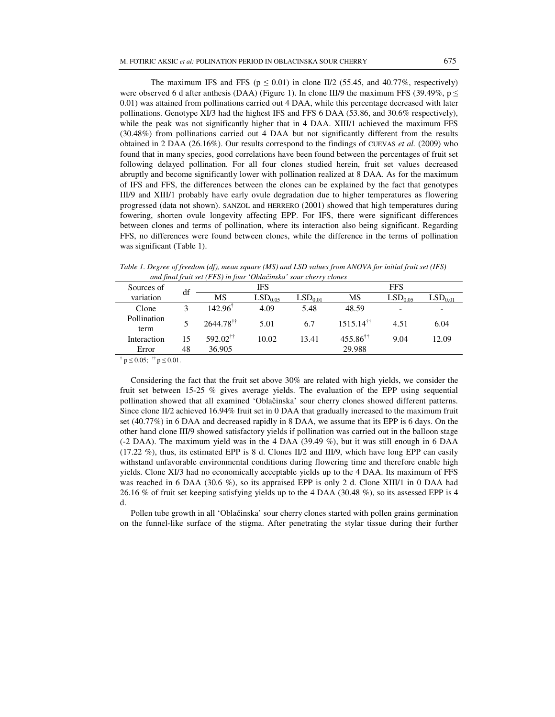The maximum IFS and FFS ( $p \le 0.01$ ) in clone II/2 (55.45, and 40.77%, respectively) were observed 6 d after anthesis (DAA) (Figure 1). In clone III/9 the maximum FFS (39.49%,  $p \le$ 0.01) was attained from pollinations carried out 4 DAA, while this percentage decreased with later pollinations. Genotype XI/3 had the highest IFS and FFS 6 DAA (53.86, and 30.6% respectively), while the peak was not significantly higher that in 4 DAA. XIII/1 achieved the maximum FFS (30.48%) from pollinations carried out 4 DAA but not significantly different from the results obtained in 2 DAA (26.16%). Our results correspond to the findings of CUEVAS *et al.* (2009) who found that in many species, good correlations have been found between the percentages of fruit set following delayed pollination. For all four clones studied herein, fruit set values decreased abruptly and become significantly lower with pollination realized at 8 DAA. As for the maximum of IFS and FFS, the differences between the clones can be explained by the fact that genotypes III/9 and XIII/1 probably have early ovule degradation due to higher temperatures as flowering progressed (data not shown). SANZOL and HERRERO (2001) showed that high temperatures during fowering, shorten ovule longevity affecting EPP. For IFS, there were significant differences between clones and terms of pollination, where its interaction also being significant. Regarding FFS, no differences were found between clones, while the difference in the terms of pollination was significant (Table 1).

| Sources of          | df | IFS                        |                     |                     | <b>FFS</b>                |                          |                          |  |
|---------------------|----|----------------------------|---------------------|---------------------|---------------------------|--------------------------|--------------------------|--|
| variation           |    | MS                         | LSD <sub>0.05</sub> | LSD <sub>0.01</sub> | MS                        | LSD <sub>0.05</sub>      | LSD <sub>0.01</sub>      |  |
| Clone               |    | 142.96 <sup>†</sup>        | 4.09                | 5.48                | 48.59                     | $\overline{\phantom{0}}$ | $\overline{\phantom{a}}$ |  |
| Pollination<br>term |    | $2644.78^{\dagger\dagger}$ | 5.01                | 6.7                 | $1515.14$ <sup>11</sup>   | 4.51                     | 6.04                     |  |
| Interaction         | 15 | $592.02^{\dagger\dagger}$  | 10.02               | 13.41               | $455.86^{\dagger\dagger}$ | 9.04                     | 12.09                    |  |
| Error               | 48 | 36.905                     |                     |                     | 29.988                    |                          |                          |  |

*Table 1. Degree of freedom (df), mean square (MS) and LSD values from ANOVA for initial fruit set (IFS) and final fruit set (FFS) in four 'Obla*č*inska' sour cherry clones* 

 $\{\dagger} p \le 0.05; \; \dagger \dagger p \le 0.01.$ 

 Considering the fact that the fruit set above 30% are related with high yields, we consider the fruit set between 15-25 % gives average yields. The evaluation of the EPP using sequential pollination showed that all examined 'Oblačinska' sour cherry clones showed different patterns. Since clone II/2 achieved 16.94% fruit set in 0 DAA that gradually increased to the maximum fruit set (40.77%) in 6 DAA and decreased rapidly in 8 DAA, we assume that its EPP is 6 days. On the other hand clone III/9 showed satisfactory yields if pollination was carried out in the balloon stage (-2 DAA). The maximum yield was in the 4 DAA (39.49 %), but it was still enough in 6 DAA (17.22 %), thus, its estimated EPP is 8 d. Clones II/2 and III/9, which have long EPP can easily withstand unfavorable environmental conditions during flowering time and therefore enable high yields. Clone XI/3 had no economically acceptable yields up to the 4 DAA. Its maximum of FFS was reached in 6 DAA (30.6 %), so its appraised EPP is only 2 d. Clone XIII/1 in 0 DAA had 26.16 % of fruit set keeping satisfying yields up to the 4 DAA (30.48 %), so its assessed EPP is 4 d.

 Pollen tube growth in all 'Oblačinska' sour cherry clones started with pollen grains germination on the funnel-like surface of the stigma. After penetrating the stylar tissue during their further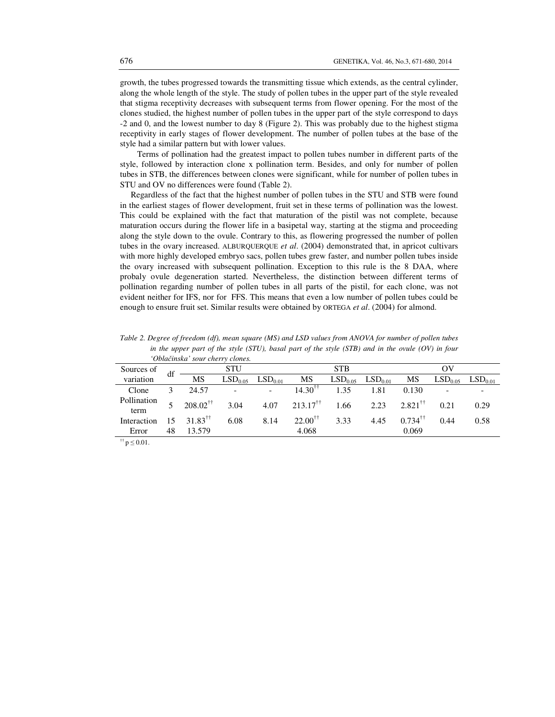growth, the tubes progressed towards the transmitting tissue which extends, as the central cylinder, along the whole length of the style. The study of pollen tubes in the upper part of the style revealed that stigma receptivity decreases with subsequent terms from flower opening. For the most of the clones studied, the highest number of pollen tubes in the upper part of the style correspond to days -2 and 0, and the lowest number to day 8 (Figure 2). This was probably due to the highest stigma receptivity in early stages of flower development. The number of pollen tubes at the base of the style had a similar pattern but with lower values.

 Terms of pollination had the greatest impact to pollen tubes number in different parts of the style, followed by interaction clone x pollination term. Besides, and only for number of pollen tubes in STB, the differences between clones were significant, while for number of pollen tubes in STU and OV no differences were found (Table 2).

 Regardless of the fact that the highest number of pollen tubes in the STU and STB were found in the earliest stages of flower development, fruit set in these terms of pollination was the lowest. This could be explained with the fact that maturation of the pistil was not complete, because maturation occurs during the flower life in a basipetal way, starting at the stigma and proceeding along the style down to the ovule. Contrary to this, as flowering progressed the number of pollen tubes in the ovary increased. ALBURQUERQUE *et al*. (2004) demonstrated that, in apricot cultivars with more highly developed embryo sacs, pollen tubes grew faster, and number pollen tubes inside the ovary increased with subsequent pollination. Exception to this rule is the 8 DAA, where probaly ovule degeneration started. Nevertheless, the distinction between different terms of pollination regarding number of pollen tubes in all parts of the pistil, for each clone, was not evident neither for IFS, nor for FFS. This means that even a low number of pollen tubes could be enough to ensure fruit set. Similar results were obtained by ORTEGA *et al*. (2004) for almond.

|                     |    | Obiacinska sour cherry ciones. |                     |                     |                           |      |                     |                       |      |                           |
|---------------------|----|--------------------------------|---------------------|---------------------|---------------------------|------|---------------------|-----------------------|------|---------------------------|
| Sources of          | df | <b>STU</b>                     |                     |                     | <b>STB</b>                |      |                     | $\alpha$              |      |                           |
| variation           |    | <b>MS</b>                      | LSD <sub>0.05</sub> | LSD <sub>0.01</sub> | MS                        |      | $LSD0.05$ $LSD0.01$ | MS                    |      | $LSD_{0.05}$ $LSD_{0.01}$ |
| Clone               |    | 24.57                          | $\overline{a}$      |                     | $14.30^{\dagger\dagger}$  | 1.35 | 1.81                | 0.130                 |      |                           |
| Pollination<br>term |    | $208.02^{\dagger\dagger}$      | 3.04                | 4.07                | $213.17^{\dagger\dagger}$ | 1.66 | 2.23                | $2.821$ <sup>TT</sup> | 0.21 | 0.29                      |
| Interaction         | 15 | $31.83^{\dagger\dagger}$       | 6.08                | 8.14                | $22.00^{11}$              | 3.33 | 4.45                | $0.734$ <sup>††</sup> | 0.44 | 0.58                      |
| Error               | 48 | 13.579                         |                     |                     | 4.068                     |      |                     | 0.069                 |      |                           |
|                     |    |                                |                     |                     |                           |      |                     |                       |      |                           |

*Table 2. Degree of freedom (df), mean square (MS) and LSD values from ANOVA for number of pollen tubes in the upper part of the style (STU), basal part of the style (STB) and in the ovule (OV) in four 'Obla*č*inska' sour cherry clones.* 

 $^{++}p \le 0.01$ .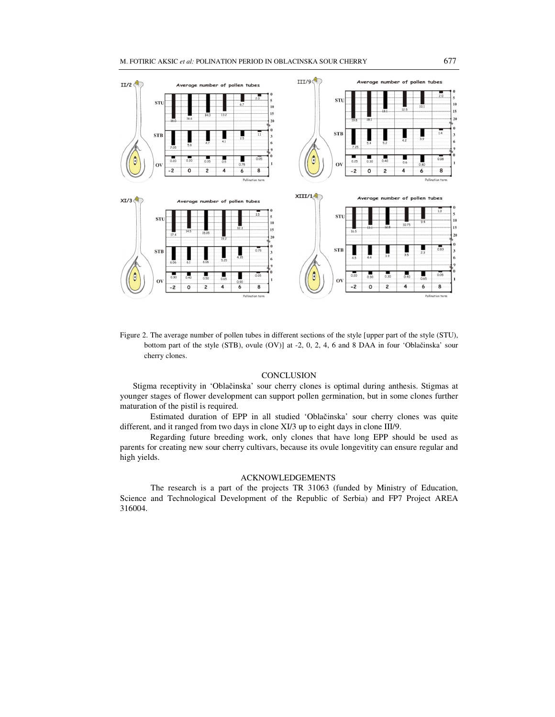

Figure 2. The average number of pollen tubes in different sections of the style [upper part of the style (STU), bottom part of the style (STB), ovule (OV)] at -2, 0, 2, 4, 6 and 8 DAA in four 'Oblačinska' sour cherry clones.

### **CONCLUSION**

 Stigma receptivity in 'Oblačinska' sour cherry clones is optimal during anthesis. Stigmas at younger stages of flower development can support pollen germination, but in some clones further maturation of the pistil is required.

 Estimated duration of EPP in all studied 'Oblačinska' sour cherry clones was quite different, and it ranged from two days in clone XI/3 up to eight days in clone III/9.

 Regarding future breeding work, only clones that have long EPP should be used as parents for creating new sour cherry cultivars, because its ovule longevitity can ensure regular and high yields.

## ACKNOWLEDGEMENTS

The research is a part of the projects TR 31063 (funded by Ministry of Education, Science and Technological Development of the Republic of Serbia) and FP7 Project AREA 316004.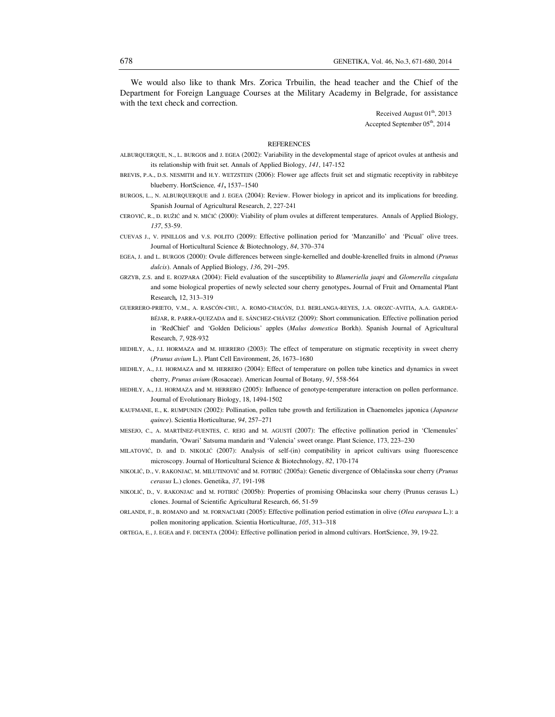We would also like to thank Mrs. Zorica Trbuilin, the head teacher and the Chief of the Department for Foreign Language Courses at the Military Academy in Belgrade, for assistance with the text check and correction.

> Received August  $01<sup>th</sup>$ , 2013 Accepted September 05<sup>th</sup>, 2014

#### **REFERENCES**

- ALBURQUERQUE, N., L. BURGOS and J. EGEA (2002): Variability in the developmental stage of apricot ovules at anthesis and its relationship with fruit set. Annals of Applied Biology, *141*, 147-152
- BREVIS, P.A., D.S. NESMITH and H.Y. WETZSTEIN (2006): Flower age affects fruit set and stigmatic receptivity in rabbiteye blueberry. HortScience*, 41***,** 1537–1540
- BURGOS, L., N. ALBURQUERQUE and J. EGEA (2004): Review. Flower biology in apricot and its implications for breeding. Spanish Journal of Agricultural Research, *2*, 227-241
- CEROVIĆ, R., Đ. RUŽIĆ and N. MIĆIĆ (2000): Viability of plum ovules at different temperatures. Annals of Applied Biology, *137*, 53-59.
- CUEVAS J., V. PINILLOS and V.S. POLITO (2009): Effective pollination period for 'Manzanillo' and 'Picual' olive trees. Journal of Horticultural Science & Biotechnology, *84*, 370–374
- EGEA, J. and L. BURGOS (2000): Ovule differences between single-kernelled and double-krenelled fruits in almond (*Prunus dulcis*). Annals of Applied Biology, *136*, 291–295.
- GRZYB, Z.S. and E. ROZPARA (2004): Field evaluation of the susceptibility to *Blumeriella jaapi* and *Glomerella cingulata* and some biological properties of newly selected sour cherry genotypes**.** Journal of Fruit and Ornamental Plant Research*,* 12, 313–319
- GUERRERO-PRIETO, V.M., A. RASCÓN-CHU, A. ROMO-CHACÓN, D.I. BERLANGA-REYES, J.A. OROZC-AVITIA, A.A. GARDEA-BÉJAR, R. PARRA-QUEZADA and E. SÁNCHEZ-CHÁVEZ (2009): Short communication. Effective pollination period in 'RedChief' and 'Golden Delicious' apples (*Malus domestica* Borkh). Spanish Journal of Agricultural Research, *7*, 928-932
- HEDHLY, A., J.I. HORMAZA and M. HERRERO (2003): The effect of temperature on stigmatic receptivity in sweet cherry (*Prunus avium* L.). Plant Cell Environment, *26*, 1673–1680
- HEDHLY, A., J.I. HORMAZA and M. HERRERO (2004): Effect of temperature on pollen tube kinetics and dynamics in sweet cherry, *Prunus avium* (Rosaceae). American Journal of Botany, *91*, 558-564
- HEDHLY, A., J.I. HORMAZA and M. HERRERO (2005): Influence of genotype-temperature interaction on pollen performance. Journal of Evolutionary Biology, 18, 1494-1502
- KAUFMANE, E., K. RUMPUNEN (2002): Pollination, pollen tube growth and fertilization in Chaenomeles japonica (*Japanese quince*). Scientia Horticulturae, *94*, 257–271
- MESEJO, C., A. MARTÍNEZ-FUENTES, C. REIG and M. AGUSTÍ (2007): The effective pollination period in 'Clemenules' mandarin, 'Owari' Satsuma mandarin and 'Valencia' sweet orange. Plant Science, 173, 223–230
- MILATOVIĆ, D. and D. NIKOLIĆ (2007): Analysis of self-(in) compatibility in apricot cultivars using fluorescence microscopy. Journal of Horticultural Science & Biotechnology, *82*, 170-174
- NIKOLIĆ, D., V. RAKONJAC, M. MILUTINOVIĆ and M. FOTIRIĆ (2005a): Genetic divergence of Oblačinska sour cherry (*Prunus cerasus* L.) clones. Genetika, *37*, 191-198
- NIKOLIĆ, D., V. RAKONJAC and M. FOTIRIĆ (2005b): Properties of promising Oblacinska sour cherry (Prunus cerasus L.) clones. Journal of Scientific Agricultural Research, *66*, 51-59
- ORLANDI, F., B. ROMANO and M. FORNACIARI (2005): Effective pollination period estimation in olive (*Olea europaea* L.): a pollen monitoring application. Scientia Horticulturae, *105*, 313–318
- ORTEGA, E., J. EGEA and F. DICENTA (2004): Effective pollination period in almond cultivars. HortScience, 39, 19-22.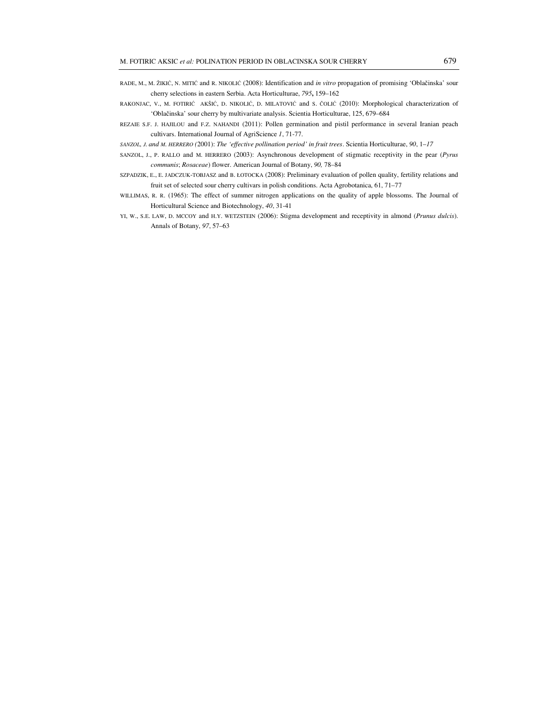- RADE, M., M. ŽIKIĆ, N. MITIĆ and R. NIKOLIĆ (2008): Identification and *in vitro* propagation of promising 'Oblačinska' sour cherry selections in eastern Serbia. Acta Horticulturae, *795***,** 159–162
- RAKONJAC, V., M. FOTIRIĆ AKŠIĆ, D. NIKOLIĆ, D. MILATOVIĆ and S. ČOLIĆ (2010): Morphological characterization of 'Oblačinska' sour cherry by multivariate analysis. Scientia Horticulturae, 125, 679–684
- REZAIE S.F. J. HAJILOU and F.Z. NAHANDI (2011): Pollen germination and pistil performance in several Iranian peach cultivars. International Journal of AgriScience *1*, 71-77.
- *SANZOL, J. and M. HERRERO (*2001): *The 'effective pollination period' in fruit trees*. Scientia Horticulturae, *90*, 1–*17*
- SANZOL, J., P. RALLO and M. HERRERO (2003): Asynchronous development of stigmatic receptivity in the pear (*Pyrus communis*; *Rosaceae*) flower. American Journal of Botany, *90,* 78–84
- SZPADZIK, E., E. JADCZUK-TOBJASZ and B. ŁOTOCKA (2008): Preliminary evaluation of pollen quality, fertility relations and fruit set of selected sour cherry cultivars in polish conditions. Acta Agrobotanica, 61, 71–77
- WILLIMAS, R. R. (1965): The effect of summer nitrogen applications on the quality of apple blossoms. The Journal of Horticultural Science and Biotechnology, *40*, 31-41
- YI, W., S.E. LAW, D. MCCOY and H.Y. WETZSTEIN (2006): Stigma development and receptivity in almond (*Prunus dulcis*). Annals of Botany, *97*, 57–63